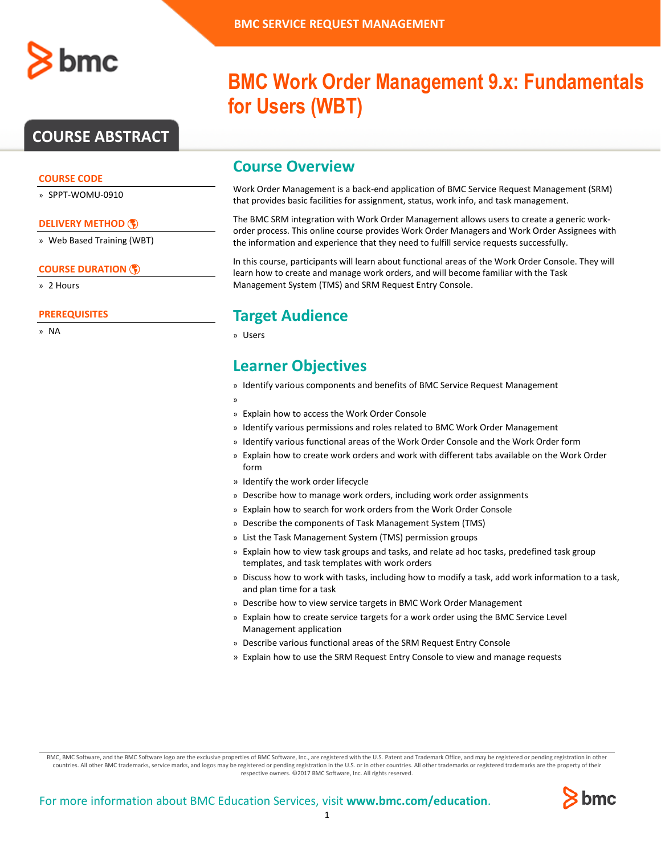

## **COURSE ABSTRACT**

### **COURSE CODE**

» SPPT-WOMU-0910

### **[DELIVERY METHOD](http://www.bmc.com/education/modality.html)**

» Web Based Training (WBT)

#### **[COURSE DURATION](http://www.bmc.com/education/learning-paths/education-filters-learning-paths.html)**

» 2 Hours

#### **PREREQUISITES**

» NA

# **BMC Work Order Management 9.x: Fundamentals for Users (WBT)**

### **Course Overview**

Work Order Management is a back-end application of BMC Service Request Management (SRM) that provides basic facilities for assignment, status, work info, and task management.

The BMC SRM integration with Work Order Management allows users to create a generic workorder process. This online course provides Work Order Managers and Work Order Assignees with the information and experience that they need to fulfill service requests successfully.

In this course, participants will learn about functional areas of the Work Order Console. They will learn how to create and manage work orders, and will become familiar with the Task Management System (TMS) and SRM Request Entry Console.

### **Target Audience**

» Users

### **Learner Objectives**

- » Identify various components and benefits of BMC Service Request Management
- »
- » Explain how to access the Work Order Console
- » Identify various permissions and roles related to BMC Work Order Management
- » Identify various functional areas of the Work Order Console and the Work Order form
- » Explain how to create work orders and work with different tabs available on the Work Order form
- » Identify the work order lifecycle
- » Describe how to manage work orders, including work order assignments
- » Explain how to search for work orders from the Work Order Console
- » Describe the components of Task Management System (TMS)
- » List the Task Management System (TMS) permission groups
- » Explain how to view task groups and tasks, and relate ad hoc tasks, predefined task group templates, and task templates with work orders
- » Discuss how to work with tasks, including how to modify a task, add work information to a task, and plan time for a task
- » Describe how to view service targets in BMC Work Order Management
- » Explain how to create service targets for a work order using the BMC Service Level Management application
- » Describe various functional areas of the SRM Request Entry Console
- » Explain how to use the SRM Request Entry Console to view and manage requests

BMC, BMC Software, and the BMC Software logo are the exclusive properties of BMC Software, Inc., are registered with the U.S. Patent and Trademark Office, and may be registered or pending registration in other countries. All other BMC trademarks, service marks, and logos may be registered or pending registration in the U.S. or in other countries. All other trademarks or registered trademarks are the property of their respective owners. ©2017 BMC Software, Inc. All rights reserved.